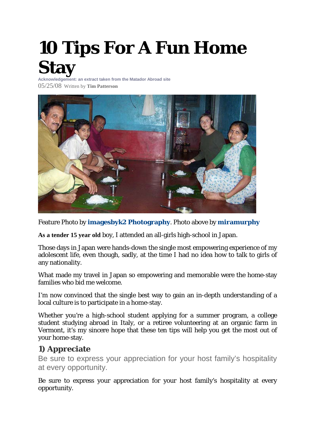# **[10 Tips For A Fun Home](http://matadornetwork.com/abroad/10-tips-for-a-fun-home-stay/)  [Stay](http://matadornetwork.com/abroad/10-tips-for-a-fun-home-stay/)**

**Acknowledgement: an extract taken from the Matador Abroad site** 05/25/08 Written by **[Tim Patterson](http://matadornetwork.com/author/tim-patterson/)**



Feature Photo by **[imagesbyk2 Photography](http://matadornetwork.com/abroad/10-tips-for-a-fun-home-stay/%20http:/www.flickr.com/photos/imagesbyk2/35359142/)**. Photo above by **[miramurphy](http://matadornetwork.com/abroad/10-tips-for-a-fun-home-stay/%20http:/www.flickr.com/photos/7666028@N02/449849871/)**

**As a tender 15 year old** boy, I attended an all-girls high-school in Japan.

Those days in Japan were hands-down the single most empowering experience of my adolescent life, even though, sadly, at the time I had no idea how to talk to girls of any nationality.

What made my travel in Japan so empowering and memorable were the home-stay families who bid me welcome.

I'm now convinced that the single best way to gain an in-depth understanding of a local culture is to participate in a home-stay.

Whether you're a high-school student applying for a summer program, a college student studying abroad in Italy, or a retiree volunteering at an organic farm in Vermont, it's my sincere hope that these ten tips will help you get the most out of your home-stay.

#### **1) Appreciate**

Be sure to express your appreciation for your host family's hospitality at every opportunity.

Be sure to express your appreciation for your host family's hospitality at every opportunity.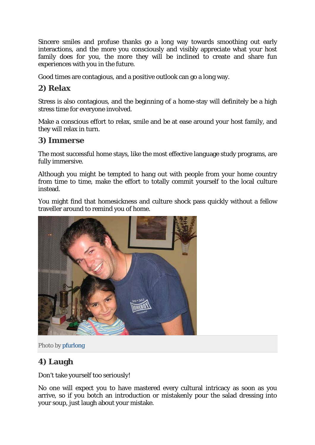Sincere smiles and profuse thanks go a long way towards smoothing out early interactions, and the more you consciously and visibly appreciate what your host family does for you, the more they will be inclined to create and share fun experiences with you in the future.

Good times are contagious, and a positive outlook can go a long way.

# **2) Relax**

Stress is also contagious, and the beginning of a home-stay will definitely be a high stress time for everyone involved.

Make a conscious effort to relax, smile and be at ease around your host family, and they will relax in turn.

#### **3) Immerse**

The most successful home stays, like the most effective language study programs, are fully immersive.

Although you might be tempted to hang out with people from your home country from time to time, make the effort to totally commit yourself to the local culture instead.

You might find that homesickness and culture shock pass quickly without a fellow traveller around to remind you of home.





# **4) Laugh**

Don't take yourself too seriously!

No one will expect you to have mastered every cultural intricacy as soon as you arrive, so if you botch an introduction or mistakenly pour the salad dressing into your soup, just laugh about your mistake.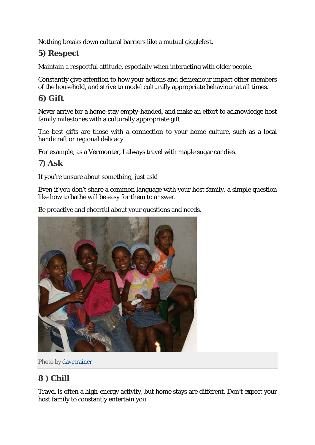Nothing breaks down cultural barriers like a mutual gigglefest.

# **5) Respect**

Maintain a respectful attitude, especially when interacting with older people.

Constantly give attention to how your actions and demeanour impact other members of the household, and strive to model culturally appropriate behaviour at all times.

#### **6) Gift**

Never arrive for a home-stay empty-handed, and make an effort to acknowledge host family milestones with a culturally appropriate gift.

The best gifts are those with a connection to your home culture, such as a local handicraft or regional delicacy.

For example, as a Vermonter, I always travel with maple sugar candies.

#### **7) Ask**

If you're unsure about something, just ask!

Even if you don't share a common language with your host family, a simple question like how to bathe will be easy for them to answer.

Be proactive and cheerful about your questions and needs.



Photo b[y davetrainer](http://www.flickr.com/photos/83783717@N00/1019379726/)

# **8 ) Chill**

Travel is often a high-energy activity, but home stays are different. Don't expect your host family to constantly entertain you.